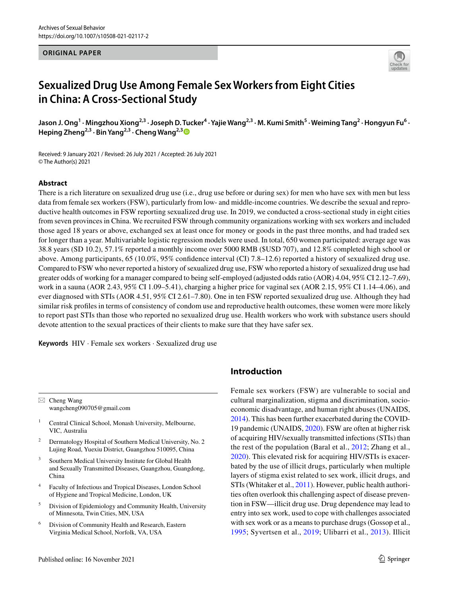#### **ORIGINAL PAPER**



# **Sexualized Drug Use Among Female Sex Workers from Eight Cities in China: A Cross‑Sectional Study**

Jason J. Ong<sup>1</sup> · Mingzhou Xiong<sup>2,3</sup> · Joseph D. Tucker<sup>4</sup> · Yajie Wang<sup>2,3</sup> · M. Kumi Smith<sup>5</sup> · Weiming Tang<sup>2</sup> · Hongyun Fu<sup>6</sup> · **Heping Zheng2,3 · Bin Yang2,3 · Cheng Wang2,[3](http://orcid.org/0000-0001-8000-9969)**

Received: 9 January 2021 / Revised: 26 July 2021 / Accepted: 26 July 2021 © The Author(s) 2021

#### **Abstract**

There is a rich literature on sexualized drug use (i.e., drug use before or during sex) for men who have sex with men but less data from female sex workers (FSW), particularly from low- and middle-income countries. We describe the sexual and reproductive health outcomes in FSW reporting sexualized drug use. In 2019, we conducted a cross-sectional study in eight cities from seven provinces in China. We recruited FSW through community organizations working with sex workers and included those aged 18 years or above, exchanged sex at least once for money or goods in the past three months, and had traded sex for longer than a year. Multivariable logistic regression models were used. In total, 650 women participated: average age was 38.8 years (SD 10.2), 57.1% reported a monthly income over 5000 RMB (\$USD 707), and 12.8% completed high school or above. Among participants, 65 (10.0%, 95% confdence interval (CI) 7.8–12.6) reported a history of sexualized drug use. Compared to FSW who never reported a history of sexualized drug use, FSW who reported a history of sexualized drug use had greater odds of working for a manager compared to being self-employed (adjusted odds ratio (AOR) 4.04, 95% CI 2.12–7.69), work in a sauna (AOR 2.43, 95% CI 1.09–5.41), charging a higher price for vaginal sex (AOR 2.15, 95% CI 1.14–4.06), and ever diagnosed with STIs (AOR 4.51, 95% CI 2.61–7.80). One in ten FSW reported sexualized drug use. Although they had similar risk profles in terms of consistency of condom use and reproductive health outcomes, these women were more likely to report past STIs than those who reported no sexualized drug use. Health workers who work with substance users should devote attention to the sexual practices of their clients to make sure that they have safer sex.

**Keywords** HIV · Female sex workers · Sexualized drug use

 $\boxtimes$  Cheng Wang wangcheng090705@gmail.com

- <sup>1</sup> Central Clinical School, Monash University, Melbourne, VIC, Australia
- <sup>2</sup> Dermatology Hospital of Southern Medical University, No. 2 Lujing Road, Yuexiu District, Guangzhou 510095, China
- <sup>3</sup> Southern Medical University Institute for Global Health and Sexually Transmitted Diseases, Guangzhou, Guangdong, China
- <sup>4</sup> Faculty of Infectious and Tropical Diseases, London School of Hygiene and Tropical Medicine, London, UK
- <sup>5</sup> Division of Epidemiology and Community Health, University of Minnesota, Twin Cities, MN, USA
- <sup>6</sup> Division of Community Health and Research, Eastern Virginia Medical School, Norfolk, VA, USA

# **Introduction**

Female sex workers (FSW) are vulnerable to social and cultural marginalization, stigma and discrimination, socioeconomic disadvantage, and human right abuses (UNAIDS, [2014](#page-9-0)). This has been further exacerbated during the COVID-19 pandemic (UNAIDS, [2020\)](#page-9-1). FSW are often at higher risk of acquiring HIV/sexually transmitted infections (STIs) than the rest of the population (Baral et al., [2012;](#page-8-0) Zhang et al., [2020](#page-9-2)). This elevated risk for acquiring HIV/STIs is exacerbated by the use of illicit drugs, particularly when multiple layers of stigma exist related to sex work, illicit drugs, and STIs (Whitaker et al., [2011\)](#page-9-3). However, public health authorities often overlook this challenging aspect of disease prevention in FSW—illicit drug use. Drug dependence may lead to entry into sex work, used to cope with challenges associated with sex work or as a means to purchase drugs (Gossop et al., [1995](#page-8-1); Syvertsen et al., [2019](#page-9-4); Ulibarri et al., [2013](#page-9-5)). Illicit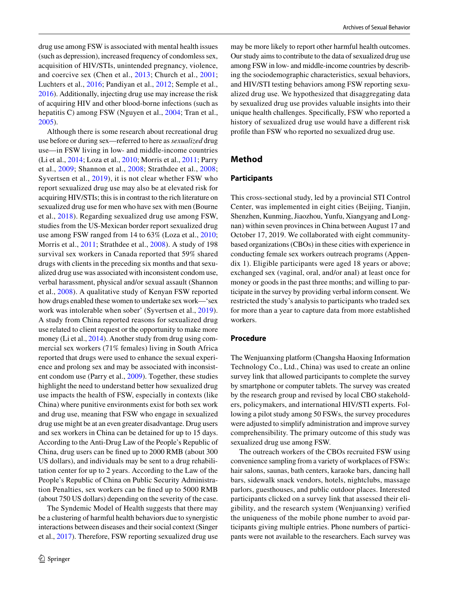drug use among FSW is associated with mental health issues (such as depression), increased frequency of condomless sex, acquisition of HIV/STIs, unintended pregnancy, violence, and coercive sex (Chen et al., [2013;](#page-8-2) Church et al., [2001](#page-8-3); Luchters et al., [2016;](#page-8-4) Pandiyan et al., [2012;](#page-9-6) Semple et al., [2016](#page-9-7)). Additionally, injecting drug use may increase the risk of acquiring HIV and other blood-borne infections (such as hepatitis C) among FSW (Nguyen et al., [2004](#page-9-8); Tran et al., [2005](#page-9-9)).

Although there is some research about recreational drug use before or during sex—referred to here as *sexualized* drug use—in FSW living in low- and middle-income countries (Li et al., [2014](#page-8-5); Loza et al., [2010](#page-8-6); Morris et al., [2011;](#page-9-10) Parry et al., [2009](#page-9-11); Shannon et al., [2008;](#page-9-12) Strathdee et al., [2008](#page-9-13); Syvertsen et al., [2019](#page-9-4)), it is not clear whether FSW who report sexualized drug use may also be at elevated risk for acquiring HIV/STIs; this is in contrast to the rich literature on sexualized drug use for men who have sex with men (Bourne et al., [2018](#page-8-7)). Regarding sexualized drug use among FSW, studies from the US-Mexican border report sexualized drug use among FSW ranged from 14 to 63% (Loza et al., [2010](#page-8-6); Morris et al., [2011;](#page-9-10) Strathdee et al., [2008\)](#page-9-13). A study of 198 survival sex workers in Canada reported that 59% shared drugs with clients in the preceding six months and that sexualized drug use was associated with inconsistent condom use, verbal harassment, physical and/or sexual assault (Shannon et al., [2008\)](#page-9-12). A qualitative study of Kenyan FSW reported how drugs enabled these women to undertake sex work—'sex work was intolerable when sober' (Syvertsen et al., [2019](#page-9-4)). A study from China reported reasons for sexualized drug use related to client request or the opportunity to make more money (Li et al., [2014](#page-8-5)). Another study from drug using commercial sex workers (71% females) living in South Africa reported that drugs were used to enhance the sexual experience and prolong sex and may be associated with inconsistent condom use (Parry et al., [2009](#page-9-11)). Together, these studies highlight the need to understand better how sexualized drug use impacts the health of FSW, especially in contexts (like China) where punitive environments exist for both sex work and drug use, meaning that FSW who engage in sexualized drug use might be at an even greater disadvantage. Drug users and sex workers in China can be detained for up to 15 days. According to the Anti-Drug Law of the People's Republic of China, drug users can be fned up to 2000 RMB (about 300 US dollars), and individuals may be sent to a drug rehabilitation center for up to 2 years. According to the Law of the People's Republic of China on Public Security Administration Penalties, sex workers can be fned up to 5000 RMB (about 750 US dollars) depending on the severity of the case.

The Syndemic Model of Health suggests that there may be a clustering of harmful health behaviors due to synergistic interactions between diseases and their social context (Singer et al., [2017](#page-9-14)). Therefore, FSW reporting sexualized drug use may be more likely to report other harmful health outcomes. Our study aims to contribute to the data of sexualized drug use among FSW in low- and middle-income countries by describing the sociodemographic characteristics, sexual behaviors, and HIV/STI testing behaviors among FSW reporting sexualized drug use. We hypothesized that disaggregating data by sexualized drug use provides valuable insights into their unique health challenges. Specifcally, FSW who reported a history of sexualized drug use would have a diferent risk profle than FSW who reported no sexualized drug use.

## **Method**

#### **Participants**

This cross-sectional study, led by a provincial STI Control Center, was implemented in eight cities (Beijing, Tianjin, Shenzhen, Kunming, Jiaozhou, Yunfu, Xiangyang and Longnan) within seven provinces in China between August 17 and October 17, 2019. We collaborated with eight communitybased organizations (CBOs) in these cities with experience in conducting female sex workers outreach programs (Appendix 1). Eligible participants were aged 18 years or above; exchanged sex (vaginal, oral, and/or anal) at least once for money or goods in the past three months; and willing to participate in the survey by providing verbal inform consent. We restricted the study's analysis to participants who traded sex for more than a year to capture data from more established workers.

#### **Procedure**

The Wenjuanxing platform (Changsha Haoxing Information Technology Co., Ltd., China) was used to create an online survey link that allowed participants to complete the survey by smartphone or computer tablets. The survey was created by the research group and revised by local CBO stakeholders, policymakers, and international HIV/STI experts. Following a pilot study among 50 FSWs, the survey procedures were adjusted to simplify administration and improve survey comprehensibility. The primary outcome of this study was sexualized drug use among FSW.

The outreach workers of the CBOs recruited FSW using convenience sampling from a variety of workplaces of FSWs: hair salons, saunas, bath centers, karaoke bars, dancing hall bars, sidewalk snack vendors, hotels, nightclubs, massage parlors, guesthouses, and public outdoor places. Interested participants clicked on a survey link that assessed their eligibility, and the research system (Wenjuanxing) verified the uniqueness of the mobile phone number to avoid participants giving multiple entries. Phone numbers of participants were not available to the researchers. Each survey was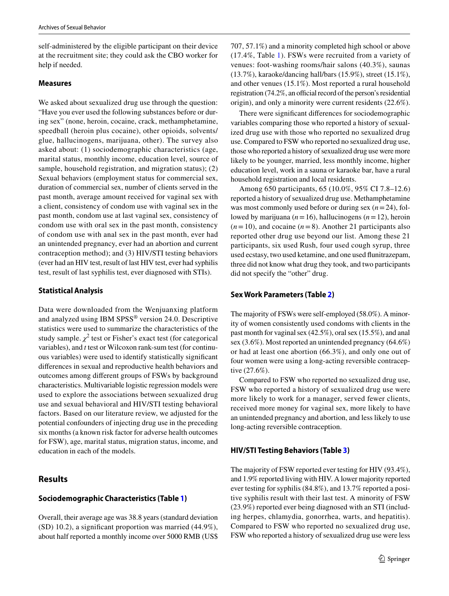self-administered by the eligible participant on their device at the recruitment site; they could ask the CBO worker for help if needed.

#### **Measures**

We asked about sexualized drug use through the question: "Have you ever used the following substances before or during sex" (none, heroin, cocaine, crack, methamphetamine, speedball (heroin plus cocaine), other opioids, solvents/ glue, hallucinogens, marijuana, other). The survey also asked about: (1) sociodemographic characteristics (age, marital status, monthly income, education level, source of sample, household registration, and migration status); (2) Sexual behaviors (employment status for commercial sex, duration of commercial sex, number of clients served in the past month, average amount received for vaginal sex with a client, consistency of condom use with vaginal sex in the past month, condom use at last vaginal sex, consistency of condom use with oral sex in the past month, consistency of condom use with anal sex in the past month, ever had an unintended pregnancy, ever had an abortion and current contraception method); and (3) HIV/STI testing behaviors (ever had an HIV test, result of last HIV test, ever had syphilis test, result of last syphilis test, ever diagnosed with STIs).

## **Statistical Analysis**

Data were downloaded from the Wenjuanxing platform and analyzed using IBM SPSS® version 24.0. Descriptive statistics were used to summarize the characteristics of the study sample.  $\chi^2$  test or Fisher's exact test (for categorical variables), and *t* test or Wilcoxon rank-sum test (for continuous variables) were used to identify statistically signifcant diferences in sexual and reproductive health behaviors and outcomes among diferent groups of FSWs by background characteristics. Multivariable logistic regression models were used to explore the associations between sexualized drug use and sexual behavioral and HIV/STI testing behavioral factors. Based on our literature review, we adjusted for the potential confounders of injecting drug use in the preceding six months (a known risk factor for adverse health outcomes for FSW), age, marital status, migration status, income, and education in each of the models.

# **Results**

## **Sociodemographic Characteristics (Table [1\)](#page-3-0)**

Overall, their average age was 38.8 years (standard deviation (SD) 10.2), a signifcant proportion was married (44.9%), about half reported a monthly income over 5000 RMB (US\$ 707, 57.1%) and a minority completed high school or above (17.4%, Table [1\)](#page-3-0). FSWs were recruited from a variety of venues: foot-washing rooms/hair salons (40.3%), saunas (13.7%), karaoke/dancing hall/bars (15.9%), street (15.1%), and other venues (15.1%). Most reported a rural household registration  $(74.2\%$ , an official record of the person's residential origin), and only a minority were current residents (22.6%).

There were signifcant diferences for sociodemographic variables comparing those who reported a history of sexualized drug use with those who reported no sexualized drug use. Compared to FSW who reported no sexualized drug use, those who reported a history of sexualized drug use were more likely to be younger, married, less monthly income, higher education level, work in a sauna or karaoke bar, have a rural household registration and local residents.

Among 650 participants, 65 (10.0%, 95% CI 7.8–12.6) reported a history of sexualized drug use. Methamphetamine was most commonly used before or during sex (*n*=24), followed by marijuana (*n*=16), hallucinogens (*n*=12), heroin  $(n=10)$ , and cocaine  $(n=8)$ . Another 21 participants also reported other drug use beyond our list. Among these 21 participants, six used Rush, four used cough syrup, three used ecstasy, two used ketamine, and one used funitrazepam, three did not know what drug they took, and two participants did not specify the "other" drug.

### **Sex Work Parameters (Table [2](#page-4-0))**

The majority of FSWs were self-employed (58.0%). A minority of women consistently used condoms with clients in the past month for vaginal sex (42.5%), oral sex (15.5%), and anal sex (3.6%). Most reported an unintended pregnancy (64.6%) or had at least one abortion (66.3%), and only one out of four women were using a long-acting reversible contraceptive (27.6%).

Compared to FSW who reported no sexualized drug use, FSW who reported a history of sexualized drug use were more likely to work for a manager, served fewer clients, received more money for vaginal sex, more likely to have an unintended pregnancy and abortion, and less likely to use long-acting reversible contraception.

## **HIV/STI Testing Behaviors (Table [3\)](#page-5-0)**

The majority of FSW reported ever testing for HIV (93.4%), and 1.9% reported living with HIV. A lower majority reported ever testing for syphilis (84.8%), and 13.7% reported a positive syphilis result with their last test. A minority of FSW (23.9%) reported ever being diagnosed with an STI (including herpes, chlamydia, gonorrhea, warts, and hepatitis). Compared to FSW who reported no sexualized drug use, FSW who reported a history of sexualized drug use were less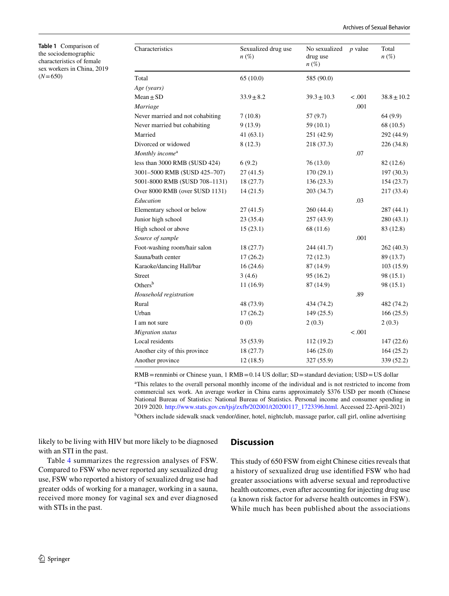<span id="page-3-0"></span>**Table 1** Comparison of the sociodemographic characteristics of female sex workers in China, 2019  $(N=650)$ 

| Characteristics                  | Sexualized drug use<br>$n\left(\%\right)$ | No sexualized<br>drug use<br>$n\left(\%\right)$ | $p$ value | Total<br>$n(\%)$ |
|----------------------------------|-------------------------------------------|-------------------------------------------------|-----------|------------------|
| Total                            | 65(10.0)                                  | 585 (90.0)                                      |           |                  |
| Age (years)                      |                                           |                                                 |           |                  |
| $Mean \pm SD$                    | $33.9 \pm 8.2$                            | $39.3 \pm 10.3$                                 | < .001    | $38.8 \pm 10.2$  |
| Marriage                         |                                           |                                                 | .001      |                  |
| Never married and not cohabiting | 7(10.8)                                   | 57(9.7)                                         |           | 64(9.9)          |
| Never married but cohabiting     | 9(13.9)                                   | 59(10.1)                                        |           | 68 (10.5)        |
| Married                          | 41(63.1)                                  | 251 (42.9)                                      |           | 292 (44.9)       |
| Divorced or widowed              | 8(12.3)                                   | 218 (37.3)                                      |           | 226 (34.8)       |
| Monthly income <sup>a</sup>      |                                           |                                                 | .07       |                  |
| less than 3000 RMB (\$USD 424)   | 6(9.2)                                    | 76(13.0)                                        |           | 82 (12.6)        |
| 3001-5000 RMB (\$USD 425-707)    | 27(41.5)                                  | 170(29.1)                                       |           | 197(30.3)        |
| 5001-8000 RMB (\$USD 708-1131)   | 18(27.7)                                  | 136 (23.3)                                      |           | 154(23.7)        |
| Over 8000 RMB (over \$USD 1131)  | 14(21.5)                                  | 203 (34.7)                                      |           | 217 (33.4)       |
| Education                        |                                           |                                                 | .03       |                  |
| Elementary school or below       | 27(41.5)                                  | 260 (44.4)                                      |           | 287 (44.1)       |
| Junior high school               | 23(35.4)                                  | 257 (43.9)                                      |           | 280(43.1)        |
| High school or above             | 15(23.1)                                  | 68 (11.6)                                       |           | 83 (12.8)        |
| Source of sample                 |                                           |                                                 | .001      |                  |
| Foot-washing room/hair salon     | 18(27.7)                                  | 244 (41.7)                                      |           | 262 (40.3)       |
| Sauna/bath center                | 17(26.2)                                  | 72(12.3)                                        |           | 89 (13.7)        |
| Karaoke/dancing Hall/bar         | 16(24.6)                                  | 87 (14.9)                                       |           | 103(15.9)        |
| Street                           | 3(4.6)                                    | 95 (16.2)                                       |           | 98 (15.1)        |
| Others <sup>b</sup>              | 11(16.9)                                  | 87 (14.9)                                       |           | 98 (15.1)        |
| Household registration           |                                           |                                                 | .89       |                  |
| Rural                            | 48 (73.9)                                 | 434 (74.2)                                      |           | 482 (74.2)       |
| Urban                            | 17(26.2)                                  | 149 (25.5)                                      |           | 166(25.5)        |
| I am not sure                    | 0(0)                                      | 2(0.3)                                          |           | 2(0.3)           |
| Migration status                 |                                           |                                                 | < .001    |                  |
| Local residents                  | 35(53.9)                                  | 112 (19.2)                                      |           | 147(22.6)        |
| Another city of this province    | 18(27.7)                                  | 146(25.0)                                       |           | 164(25.2)        |
| Another province                 | 12(18.5)                                  | 327 (55.9)                                      |           | 339 (52.2)       |

RMB=renminbi or Chinese yuan, 1 RMB=0.14 US dollar; SD=standard deviation; USD=US dollar

a This relates to the overall personal monthly income of the individual and is not restricted to income from commercial sex work. An average worker in China earns approximately \$376 USD per month (Chinese National Bureau of Statistics: National Bureau of Statistics. Personal income and consumer spending in 2019 2020. [http://www.stats.gov.cn/tjsj/zxfb/202001/t20200117\\_1723396.html](http://www.stats.gov.cn/tjsj/zxfb/202001/t20200117_1723396.html). Accessed 22-April-2021)

<sup>b</sup>Others include sidewalk snack vendor/diner, hotel, nightclub, massage parlor, call girl, online advertising

likely to be living with HIV but more likely to be diagnosed with an STI in the past.

# **Discussion**

Table [4](#page-6-0) summarizes the regression analyses of FSW. Compared to FSW who never reported any sexualized drug use, FSW who reported a history of sexualized drug use had greater odds of working for a manager, working in a sauna, received more money for vaginal sex and ever diagnosed with STIs in the past.

This study of 650 FSW from eight Chinese cities reveals that a history of sexualized drug use identifed FSW who had greater associations with adverse sexual and reproductive health outcomes, even after accounting for injecting drug use (a known risk factor for adverse health outcomes in FSW). While much has been published about the associations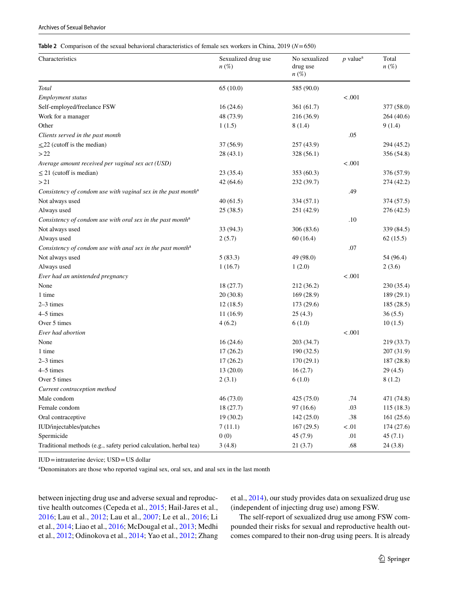#### <span id="page-4-0"></span>**Table 2** Comparison of the sexual behavioral characteristics of female sex workers in China, 2019 (*N*=650)

| Characteristics                                                           | Sexualized drug use<br>$n\left(\%\right)$ | No sexualized<br>drug use<br>$n(\%)$ | $p$ value <sup>a</sup> | Total<br>$n\left(\%\right)$ |
|---------------------------------------------------------------------------|-------------------------------------------|--------------------------------------|------------------------|-----------------------------|
| Total                                                                     | 65(10.0)                                  | 585 (90.0)                           |                        |                             |
| Employment status                                                         |                                           |                                      | $-.001$                |                             |
| Self-employed/freelance FSW                                               | 16(24.6)                                  | 361 (61.7)                           |                        | 377 (58.0)                  |
| Work for a manager                                                        | 48 (73.9)                                 | 216 (36.9)                           |                        | 264 (40.6)                  |
| Other                                                                     | 1(1.5)                                    | 8(1.4)                               |                        | 9(1.4)                      |
| Clients served in the past month                                          |                                           |                                      | .05                    |                             |
| $\leq$ 22 (cutoff is the median)                                          | 37(56.9)                                  | 257 (43.9)                           |                        | 294 (45.2)                  |
| >22                                                                       | 28(43.1)                                  | 328 (56.1)                           |                        | 356 (54.8)                  |
| Average amount received per vaginal sex act (USD)                         |                                           |                                      | $-.001$                |                             |
| $\leq$ 21 (cutoff is median)                                              | 23(35.4)                                  | 353 (60.3)                           |                        | 376 (57.9)                  |
| >21                                                                       | 42(64.6)                                  | 232 (39.7)                           |                        | 274 (42.2)                  |
| Consistency of condom use with vaginal sex in the past month <sup>a</sup> |                                           |                                      | .49                    |                             |
| Not always used                                                           | 40(61.5)                                  | 334 (57.1)                           |                        | 374 (57.5)                  |
| Always used                                                               | 25(38.5)                                  | 251 (42.9)                           |                        | 276 (42.5)                  |
| Consistency of condom use with oral sex in the past month <sup>a</sup>    |                                           |                                      | .10                    |                             |
| Not always used                                                           | 33(94.3)                                  | 306 (83.6)                           |                        | 339 (84.5)                  |
| Always used                                                               | 2(5.7)                                    | 60(16.4)                             |                        | 62(15.5)                    |
| Consistency of condom use with anal sex in the past month <sup>a</sup>    |                                           |                                      | .07                    |                             |
| Not always used                                                           | 5(83.3)                                   | 49 (98.0)                            |                        | 54 (96.4)                   |
| Always used                                                               | 1(16.7)                                   | 1(2.0)                               |                        | 2(3.6)                      |
| Ever had an unintended pregnancy                                          |                                           |                                      | < .001                 |                             |
| None                                                                      | 18(27.7)                                  | 212 (36.2)                           |                        | 230 (35.4)                  |
| 1 time                                                                    | 20(30.8)                                  | 169 (28.9)                           |                        | 189 (29.1)                  |
| $2-3$ times                                                               | 12(18.5)                                  | 173 (29.6)                           |                        | 185 (28.5)                  |
| 4-5 times                                                                 | 11(16.9)                                  | 25(4.3)                              |                        | 36(5.5)                     |
| Over 5 times                                                              | 4(6.2)                                    | 6(1.0)                               |                        | 10(1.5)                     |
| Ever had abortion                                                         |                                           |                                      | < .001                 |                             |
| None                                                                      | 16(24.6)                                  | 203 (34.7)                           |                        | 219 (33.7)                  |
| 1 time                                                                    | 17(26.2)                                  | 190(32.5)                            |                        | 207 (31.9)                  |
| $2-3$ times                                                               | 17(26.2)                                  | 170 (29.1)                           |                        | 187 (28.8)                  |
| 4-5 times                                                                 | 13(20.0)                                  | 16(2.7)                              |                        | 29(4.5)                     |
| Over 5 times                                                              | 2(3.1)                                    | 6(1.0)                               |                        | 8(1.2)                      |
| Current contraception method                                              |                                           |                                      |                        |                             |
| Male condom                                                               | 46 (73.0)                                 | 425 (75.0)                           | .74                    | 471 (74.8)                  |
| Female condom                                                             | 18(27.7)                                  | 97(16.6)                             | .03                    | 115(18.3)                   |
| Oral contraceptive                                                        | 19(30.2)                                  | 142 (25.0)                           | $.38\,$                | 161 (25.6)                  |
| IUD/injectables/patches                                                   | 7(11.1)                                   | 167(29.5)                            | < .01                  | 174 (27.6)                  |
| Spermicide                                                                | 0(0)                                      | 45(7.9)                              | .01                    | 45(7.1)                     |
| Traditional methods (e.g., safety period calculation, herbal tea)         | 3(4.8)                                    | 21(3.7)                              | .68                    | 24(3.8)                     |

IUD=intrauterine device; USD=US dollar

a Denominators are those who reported vaginal sex, oral sex, and anal sex in the last month

between injecting drug use and adverse sexual and reproductive health outcomes (Cepeda et al., [2015](#page-8-8); Hail-Jares et al., [2016;](#page-8-9) Lau et al., [2012](#page-8-10); Lau et al., [2007](#page-8-11); Le et al., [2016;](#page-8-12) Li et al., [2014;](#page-8-5) Liao et al., [2016](#page-8-13); McDougal et al., [2013](#page-9-15); Medhi et al., [2012](#page-9-16); Odinokova et al., [2014](#page-9-17); Yao et al., [2012](#page-9-18); Zhang et al., [2014](#page-9-19)), our study provides data on sexualized drug use (independent of injecting drug use) among FSW.

The self-report of sexualized drug use among FSW compounded their risks for sexual and reproductive health outcomes compared to their non-drug using peers. It is already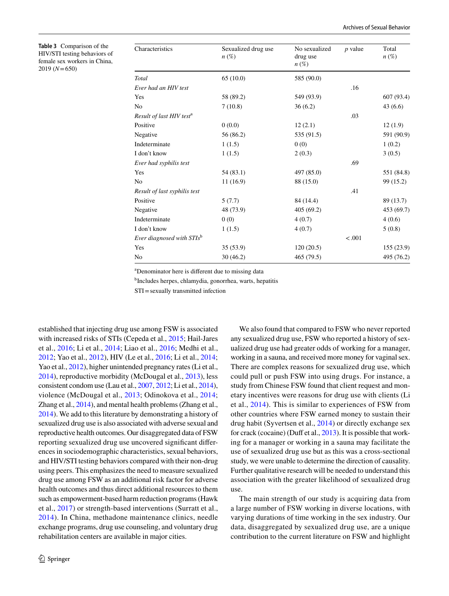<span id="page-5-0"></span>**Table 3** Comparison of the HIV/STI testing behaviors of female sex workers in China, 2019 (*N*=650)

| Characteristics                       | Sexualized drug use<br>$n\left(\%\right)$ | No sexualized<br>drug use<br>$n\left(\%\right)$ | $p$ value | Total<br>$n\left(\%\right)$ |
|---------------------------------------|-------------------------------------------|-------------------------------------------------|-----------|-----------------------------|
| Total                                 | 65(10.0)                                  | 585 (90.0)                                      |           |                             |
| Ever had an HIV test                  |                                           |                                                 | .16       |                             |
| Yes                                   | 58 (89.2)                                 | 549 (93.9)                                      |           | 607(93.4)                   |
| No                                    | 7(10.8)                                   | 36(6.2)                                         |           | 43 (6.6)                    |
| Result of last HIV test <sup>a</sup>  |                                           |                                                 | .03       |                             |
| Positive                              | 0(0.0)                                    | 12(2.1)                                         |           | 12(1.9)                     |
| Negative<br>56 (86.2)                 |                                           | 535 (91.5)                                      |           | 591 (90.9)                  |
| Indeterminate                         | 1(1.5)                                    | 0(0)                                            |           | 1(0.2)                      |
| I don't know                          | 1(1.5)                                    | 2(0.3)                                          |           | 3(0.5)                      |
| Ever had syphilis test                |                                           |                                                 | .69       |                             |
| Yes                                   | 54(83.1)                                  | 497 (85.0)                                      |           | 551 (84.8)                  |
| No                                    | 11(16.9)                                  | 88 (15.0)                                       |           | 99 (15.2)                   |
| Result of last syphilis test          |                                           | .41                                             |           |                             |
| Positive                              | 5(7.7)                                    | 84 (14.4)                                       |           | 89 (13.7)                   |
| Negative                              | 48 (73.9)                                 |                                                 |           | 453 (69.7)                  |
| Indeterminate                         | 0(0)                                      |                                                 |           | 4(0.6)                      |
| I don't know                          | 1(1.5)                                    | 4(0.7)                                          |           | 5(0.8)                      |
| Ever diagnosed with STIs <sup>b</sup> |                                           |                                                 | $-.001$   |                             |
| Yes                                   | 35(53.9)                                  | 120(20.5)                                       |           | 155(23.9)                   |
| No                                    | 30(46.2)                                  | 465 (79.5)                                      |           | 495 (76.2)                  |
|                                       |                                           |                                                 |           |                             |

a Denominator here is diferent due to missing data

b Includes herpes, chlamydia, gonorrhea, warts, hepatitis

STI=sexually transmitted infection

established that injecting drug use among FSW is associated with increased risks of STIs (Cepeda et al., [2015;](#page-8-8) Hail-Jares et al., [2016;](#page-8-9) Li et al., [2014](#page-8-5); Liao et al., [2016](#page-8-13); Medhi et al., [2012](#page-9-16); Yao et al., [2012](#page-9-18)), HIV (Le et al., [2016](#page-8-12); Li et al., [2014](#page-8-5); Yao et al., [2012\)](#page-9-18), higher unintended pregnancy rates (Li et al., [2014](#page-8-5)), reproductive morbidity (McDougal et al., [2013\)](#page-9-15), less consistent condom use (Lau et al., [2007,](#page-8-11) [2012](#page-8-10); Li et al., [2014](#page-8-5)), violence (McDougal et al., [2013;](#page-9-15) Odinokova et al., [2014](#page-9-17); Zhang et al., [2014\)](#page-9-19), and mental health problems (Zhang et al., [2014](#page-9-19)). We add to this literature by demonstrating a history of sexualized drug use is also associated with adverse sexual and reproductive health outcomes. Our disaggregated data of FSW reporting sexualized drug use uncovered signifcant diferences in sociodemographic characteristics, sexual behaviors, and HIV/STI testing behaviors compared with their non-drug using peers. This emphasizes the need to measure sexualized drug use among FSW as an additional risk factor for adverse health outcomes and thus direct additional resources to them such as empowerment-based harm reduction programs (Hawk et al., [2017\)](#page-8-14) or strength-based interventions (Surratt et al., [2014](#page-9-20)). In China, methadone maintenance clinics, needle exchange programs, drug use counseling, and voluntary drug rehabilitation centers are available in major cities.

We also found that compared to FSW who never reported any sexualized drug use, FSW who reported a history of sexualized drug use had greater odds of working for a manager, working in a sauna, and received more money for vaginal sex. There are complex reasons for sexualized drug use, which could pull or push FSW into using drugs. For instance, a study from Chinese FSW found that client request and monetary incentives were reasons for drug use with clients (Li et al., [2014](#page-8-5)). This is similar to experiences of FSW from other countries where FSW earned money to sustain their drug habit (Syvertsen et al., [2014](#page-9-21)) or directly exchange sex for crack (cocaine) (Duff et al.,  $2013$ ). It is possible that working for a manager or working in a sauna may facilitate the use of sexualized drug use but as this was a cross-sectional study, we were unable to determine the direction of causality. Further qualitative research will be needed to understand this association with the greater likelihood of sexualized drug use.

The main strength of our study is acquiring data from a large number of FSW working in diverse locations, with varying durations of time working in the sex industry. Our data, disaggregated by sexualized drug use, are a unique contribution to the current literature on FSW and highlight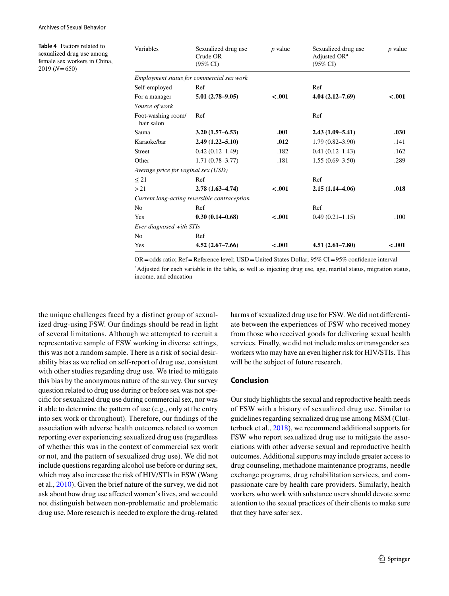<span id="page-6-0"></span>**Table 4** Factors related to sexualized drug use among female sex workers in China, 2019 (*N*=650)

| Variables                           | Sexualized drug use<br>$p$ value<br>Crude OR<br>$(95\% \text{ CI})$ |         | Sexualized drug use<br>Adjusted OR <sup>a</sup><br>$(95\% \text{ CI})$ | $p$ value |
|-------------------------------------|---------------------------------------------------------------------|---------|------------------------------------------------------------------------|-----------|
|                                     | Employment status for commercial sex work                           |         |                                                                        |           |
| Self-employed                       | Ref                                                                 |         | Ref                                                                    |           |
| For a manager                       | $-.001$<br>$5.01(2.78-9.05)$                                        |         | $4.04(2.12 - 7.69)$                                                    | $-.001$   |
| Source of work                      |                                                                     |         |                                                                        |           |
| Foot-washing room/<br>hair salon    | Ref                                                                 |         | Ref                                                                    |           |
| Sauna                               | $3.20(1.57 - 6.53)$                                                 | .001    | $2.43(1.09 - 5.41)$                                                    | .030      |
| Karaoke/bar                         | $2.49(1.22 - 5.10)$                                                 | .012    | $1.79(0.82 - 3.90)$                                                    | .141      |
| <b>Street</b>                       | $0.42(0.12 - 1.49)$                                                 | .182    | $0.41(0.12 - 1.43)$                                                    | .162      |
| Other                               | $1.71(0.78 - 3.77)$<br>.181                                         |         | $1.55(0.69 - 3.50)$                                                    | .289      |
| Average price for vaginal sex (USD) |                                                                     |         |                                                                        |           |
| $\leq 21$                           | Ref                                                                 |         | Ref                                                                    |           |
| > 21                                | $2.78(1.63 - 4.74)$                                                 | $-.001$ | $2.15(1.14 - 4.06)$                                                    | .018      |
|                                     | Current long-acting reversible contraception                        |         |                                                                        |           |
| N <sub>0</sub>                      | Ref                                                                 |         | Ref                                                                    |           |
| Yes                                 | $0.30(0.14 - 0.68)$                                                 | $-.001$ | $0.49(0.21 - 1.15)$                                                    | .100      |
| Ever diagnosed with STIs            |                                                                     |         |                                                                        |           |
| N <sub>0</sub>                      | Ref                                                                 |         |                                                                        |           |
| Yes                                 | $4.52(2.67 - 7.66)$                                                 | $-.001$ | $4.51(2.61 - 7.80)$                                                    | $-.001$   |

OR=odds ratio; Ref=Reference level; USD=United States Dollar; 95% CI=95% confdence interval <sup>a</sup>Adjusted for each variable in the table, as well as injecting drug use, age, marital status, migration status, income, and education

the unique challenges faced by a distinct group of sexualized drug-using FSW. Our fndings should be read in light of several limitations. Although we attempted to recruit a representative sample of FSW working in diverse settings, this was not a random sample. There is a risk of social desirability bias as we relied on self-report of drug use, consistent with other studies regarding drug use. We tried to mitigate this bias by the anonymous nature of the survey. Our survey question related to drug use during or before sex was not specifc for sexualized drug use during commercial sex, nor was it able to determine the pattern of use (e.g., only at the entry into sex work or throughout). Therefore, our fndings of the association with adverse health outcomes related to women reporting ever experiencing sexualized drug use (regardless of whether this was in the context of commercial sex work or not, and the pattern of sexualized drug use). We did not include questions regarding alcohol use before or during sex, which may also increase the risk of HIV/STIs in FSW (Wang et al., [2010\)](#page-9-22). Given the brief nature of the survey, we did not ask about how drug use afected women's lives, and we could not distinguish between non-problematic and problematic drug use. More research is needed to explore the drug-related

harms of sexualized drug use for FSW. We did not diferentiate between the experiences of FSW who received money from those who received goods for delivering sexual health services. Finally, we did not include males or transgender sex workers who may have an even higher risk for HIV/STIs. This will be the subject of future research.

#### **Conclusion**

Our study highlights the sexual and reproductive health needs of FSW with a history of sexualized drug use. Similar to guidelines regarding sexualized drug use among MSM (Clutterbuck et al., [2018](#page-8-16)), we recommend additional supports for FSW who report sexualized drug use to mitigate the associations with other adverse sexual and reproductive health outcomes. Additional supports may include greater access to drug counseling, methadone maintenance programs, needle exchange programs, drug rehabilitation services, and compassionate care by health care providers. Similarly, health workers who work with substance users should devote some attention to the sexual practices of their clients to make sure that they have safer sex.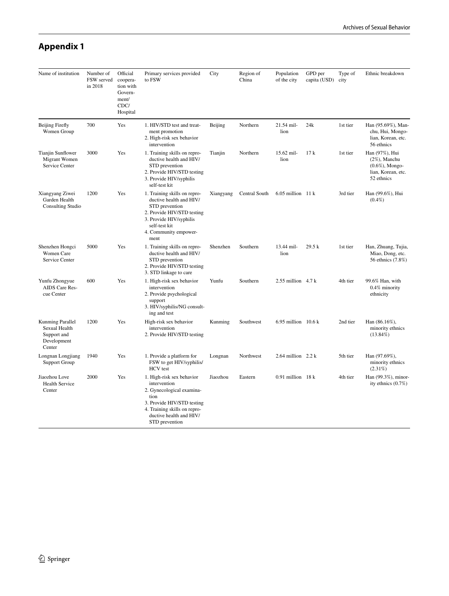# **Appendix 1**

| Name of institution                                                       | Number of<br>FSW served<br>in 2018 | Official<br>coopera-<br>tion with<br>Govern-<br>ment/<br>CDC/<br>Hospital | Primary services provided<br>to FSW                                                                                                                                                       | City      | Region of<br>China | Population<br>of the city    | GPD per<br>capita (USD) | Type of<br>city | Ethnic breakdown                                                                             |
|---------------------------------------------------------------------------|------------------------------------|---------------------------------------------------------------------------|-------------------------------------------------------------------------------------------------------------------------------------------------------------------------------------------|-----------|--------------------|------------------------------|-------------------------|-----------------|----------------------------------------------------------------------------------------------|
| <b>Beijing Firefly</b><br>Women Group                                     | 700                                | Yes                                                                       | 1. HIV/STD test and treat-<br>ment promotion<br>2. High-risk sex behavior<br>intervention                                                                                                 | Beijing   | Northern           | 21.54 mil-<br>lion           | 24k                     | 1st tier        | Han (95.69%), Man-<br>chu, Hui, Mongo-<br>lian, Korean, etc.<br>56 ethnics                   |
| Tianjin Sunflower<br>Migrant Women<br>Service Center                      | 3000                               | Yes                                                                       | 1. Training skills on repro-<br>ductive health and HIV/<br>STD prevention<br>2. Provide HIV/STD testing<br>3. Provide HIV/syphilis<br>self-test kit                                       | Tianjin   | Northern           | 15.62 mil-<br>lion           | 17k                     | 1st tier        | Han (97%), Hui<br>$(2\%)$ , Manchu<br>$(0.6\%)$ , Mongo-<br>lian, Korean, etc.<br>52 ethnics |
| Xiangyang Ziwei<br>Garden Health<br><b>Consulting Studio</b>              | 1200                               | Yes                                                                       | 1. Training skills on repro-<br>ductive health and HIV/<br>STD prevention<br>2. Provide HIV/STD testing<br>3. Provide HIV/syphilis<br>self-test kit<br>4. Community empower-<br>ment      | Xiangyang | Central South      | $6.05$ million 11 k          |                         | 3rd tier        | Han (99.6%), Hui<br>$(0.4\%)$                                                                |
| Shenzhen Hongci<br><b>Women Care</b><br>Service Center                    | 5000                               | Yes                                                                       | 1. Training skills on repro-<br>ductive health and HIV/<br>STD prevention<br>2. Provide HIV/STD testing<br>3. STD linkage to care                                                         | Shenzhen  | Southern           | 13.44 mil-<br>lion           | 29.5 k                  | 1st tier        | Han, Zhuang, Tujia,<br>Miao, Dong, etc.<br>56 ethnics (7.8%)                                 |
| Yunfu Zhongyue<br>AIDS Care Res-<br>cue Center                            | 600                                | Yes                                                                       | 1. High-risk sex behavior<br>intervention<br>2. Provide psychological<br>support<br>3. HIV/syphilis/NG consult-<br>ing and test                                                           | Yunfu     | Southern           | 2.55 million $4.7k$          |                         | 4th tier        | 99.6% Han, with<br>0.4% minority<br>ethnicity                                                |
| Kunming Parallel<br>Sexual Health<br>Support and<br>Development<br>Center | 1200                               | Yes                                                                       | High-risk sex behavior<br>intervention<br>2. Provide HIV/STD testing                                                                                                                      | Kunming   | Southwest          | 6.95 million 10.6 k          |                         | 2nd tier        | Han $(86.16\%)$ ,<br>minority ethnics<br>$(13.84\%)$                                         |
| Longnan Longjiang<br><b>Support Group</b>                                 | 1940                               | Yes                                                                       | 1. Provide a platform for<br>FSW to get HIV/syphilis/<br><b>HCV</b> test                                                                                                                  | Longnan   | Northwest          | 2.64 million $2.2 \text{ k}$ |                         | 5th tier        | Han (97.69%),<br>minority ethnics<br>$(2.31\%)$                                              |
| Jiaozhou Love<br><b>Health Service</b><br>Center                          | 2000                               | Yes                                                                       | 1. High-risk sex behavior<br>intervention<br>2. Gynecological examina-<br>tion<br>3. Provide HIV/STD testing<br>4. Training skills on repro-<br>ductive health and HIV/<br>STD prevention | Jiaozhou  | Eastern            | $0.91$ million 18 k          |                         | 4th tier        | Han (99.3%), minor-<br>ity ethnics $(0.7\%)$                                                 |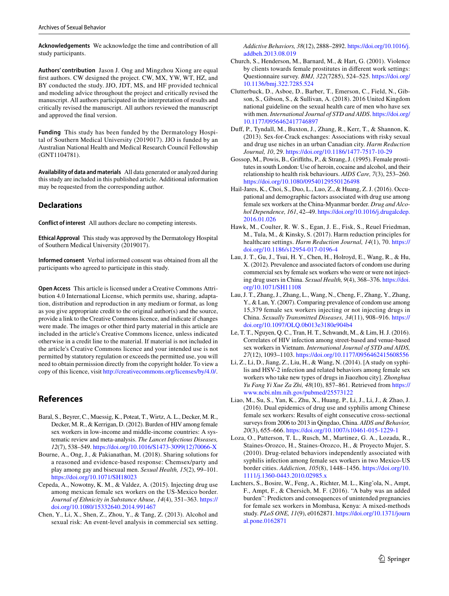**Acknowledgements** We acknowledge the time and contribution of all study participants.

**Authors' contribution** Jason J. Ong and Mingzhou Xiong are equal frst authors. CW designed the project. CW, MX, YW, WT, HZ, and BY conducted the study. JJO, JDT, MS, and HF provided technical and modeling advice throughout the project and critically revised the manuscript. All authors participated in the interpretation of results and critically revised the manuscript. All authors reviewed the manuscript and approved the fnal version.

**Funding** This study has been funded by the Dermatology Hospital of Southern Medical University (2019017). JJO is funded by an Australian National Health and Medical Research Council Fellowship (GNT1104781).

**Availability of data and materials** All data generated or analyzed during this study are included in this published article. Additional information may be requested from the corresponding author.

#### **Declarations**

**Conflict of interest** All authors declare no competing interests.

**Ethical Approval** This study was approved by the Dermatology Hospital of Southern Medical University (2019017).

**Informed consent** Verbal informed consent was obtained from all the participants who agreed to participate in this study.

**Open Access** This article is licensed under a Creative Commons Attribution 4.0 International License, which permits use, sharing, adaptation, distribution and reproduction in any medium or format, as long as you give appropriate credit to the original author(s) and the source, provide a link to the Creative Commons licence, and indicate if changes were made. The images or other third party material in this article are included in the article's Creative Commons licence, unless indicated otherwise in a credit line to the material. If material is not included in the article's Creative Commons licence and your intended use is not permitted by statutory regulation or exceeds the permitted use, you will need to obtain permission directly from the copyright holder. To view a copy of this licence, visit [http://creativecommons.org/licenses/by/4.0/.](http://creativecommons.org/licenses/by/4.0/)

# **References**

- <span id="page-8-0"></span>Baral, S., Beyrer, C., Muessig, K., Poteat, T., Wirtz, A. L., Decker, M. R., Decker, M. R., & Kerrigan, D. (2012). Burden of HIV among female sex workers in low-income and middle-income countries: A systematic review and meta-analysis. *The Lancet Infectious Diseases, 12*(7), 538–549. [https://doi.org/10.1016/S1473-3099\(12\)70066-X](https://doi.org/10.1016/S1473-3099(12)70066-X)
- <span id="page-8-7"></span>Bourne, A., Ong, J., & Pakianathan, M. (2018). Sharing solutions for a reasoned and evidence-based response: Chemsex/party and play among gay and bisexual men. *Sexual Health, 15*(2), 99–101. <https://doi.org/10.1071/SH18023>
- <span id="page-8-8"></span>Cepeda, A., Nowotny, K. M., & Valdez, A. (2015). Injecting drug use among mexican female sex workers on the US-Mexico border. *Journal of Ethnicity in Substance Abuse, 14*(4), 351–363. [https://](https://doi.org/10.1080/15332640.2014.991467) [doi.org/10.1080/15332640.2014.991467](https://doi.org/10.1080/15332640.2014.991467)
- <span id="page-8-2"></span>Chen, Y., Li, X., Shen, Z., Zhou, Y., & Tang, Z. (2013). Alcohol and sexual risk: An event-level analysis in commercial sex setting.

*Addictive Behaviors, 38*(12), 2888–2892. [https://doi.org/10.1016/j.](https://doi.org/10.1016/j.addbeh.2013.08.019) [addbeh.2013.08.019](https://doi.org/10.1016/j.addbeh.2013.08.019)

- <span id="page-8-3"></span>Church, S., Henderson, M., Barnard, M., & Hart, G. (2001). Violence by clients towards female prostitutes in diferent work settings: Questionnaire survey. *BMJ, 322*(7285), 524–525. [https://doi.org/](https://doi.org/10.1136/bmj.322.7285.524) [10.1136/bmj.322.7285.524](https://doi.org/10.1136/bmj.322.7285.524)
- <span id="page-8-16"></span>Clutterbuck, D., Asboe, D., Barber, T., Emerson, C., Field, N., Gibson, S., Gibson, S., & Sullivan, A. (2018). 2016 United Kingdom national guideline on the sexual health care of men who have sex with men. *International Journal of STD and AIDS*. [https://doi.org/](https://doi.org/10.1177/0956462417746897) [10.1177/0956462417746897](https://doi.org/10.1177/0956462417746897)
- <span id="page-8-15"></span>Duf, P., Tyndall, M., Buxton, J., Zhang, R., Kerr, T., & Shannon, K. (2013). Sex-for-Crack exchanges: Associations with risky sexual and drug use niches in an urban Canadian city. *Harm Reduction Journal, 10*, 29.<https://doi.org/10.1186/1477-7517-10-29>
- <span id="page-8-1"></span>Gossop, M., Powis, B., Grifths, P., & Strang, J. (1995). Female prostitutes in south London: Use of heroin, cocaine and alcohol, and their relationship to health risk behaviours. *AIDS Care, 7*(3), 253–260. <https://doi.org/10.1080/09540129550126498>
- <span id="page-8-9"></span>Hail-Jares, K., Choi, S., Duo, L., Luo, Z., & Huang, Z. J. (2016). Occupational and demographic factors associated with drug use among female sex workers at the China-Myanmar border. *Drug and Alcohol Dependence, 161*, 42–49. [https://doi.org/10.1016/j.drugalcdep.](https://doi.org/10.1016/j.drugalcdep.2016.01.026) [2016.01.026](https://doi.org/10.1016/j.drugalcdep.2016.01.026)
- <span id="page-8-14"></span>Hawk, M., Coulter, R. W. S., Egan, J. E., Fisk, S., Reuel Friedman, M., Tula, M., & Kinsky, S. (2017). Harm reduction principles for healthcare settings. *Harm Reduction Journal, 14*(1), 70. [https://](https://doi.org/10.1186/s12954-017-0196-4) [doi.org/10.1186/s12954-017-0196-4](https://doi.org/10.1186/s12954-017-0196-4)
- <span id="page-8-10"></span>Lau, J. T., Gu, J., Tsui, H. Y., Chen, H., Holroyd, E., Wang, R., & Hu, X. (2012). Prevalence and associated factors of condom use during commercial sex by female sex workers who were or were not injecting drug users in China. *Sexual Health, 9*(4), 368–376. [https://doi.](https://doi.org/10.1071/SH11108) [org/10.1071/SH11108](https://doi.org/10.1071/SH11108)
- <span id="page-8-11"></span>Lau, J. T., Zhang, J., Zhang, L., Wang, N., Cheng, F., Zhang, Y., Zhang, Y., & Lan, Y. (2007). Comparing prevalence of condom use among 15,379 female sex workers injecting or not injecting drugs in China. *Sexually Transmitted Diseases, 34*(11), 908–916. [https://](https://doi.org/10.1097/OLQ.0b013e3180e904b4) [doi.org/10.1097/OLQ.0b013e3180e904b4](https://doi.org/10.1097/OLQ.0b013e3180e904b4)
- <span id="page-8-12"></span>Le, T. T., Nguyen, Q. C., Tran, H. T., Schwandt, M., & Lim, H. J. (2016). Correlates of HIV infection among street-based and venue-based sex workers in Vietnam. *International Journal of STD and AIDS, 27*(12), 1093–1103.<https://doi.org/10.1177/0956462415608556>
- <span id="page-8-5"></span>Li, Z., Li, D., Jiang, Z., Liu, H., & Wang, N. (2014). [A study on syphilis and HSV-2 infection and related behaviors among female sex workers who take new types of drugs in Jiaozhou city]. *Zhonghua Yu Fang Yi Xue Za Zhi, 48*(10), 857–861. Retrieved from [https://](https://www.ncbi.nlm.nih.gov/pubmed/25573122) [www.ncbi.nlm.nih.gov/pubmed/25573122](https://www.ncbi.nlm.nih.gov/pubmed/25573122)
- <span id="page-8-13"></span>Liao, M., Su, S., Yan, K., Zhu, X., Huang, P., Li, J., Li, J., & Zhao, J. (2016). Dual epidemics of drug use and syphilis among Chinese female sex workers: Results of eight consecutive cross-sectional surveys from 2006 to 2013 in Qingdao, China. *AIDS and Behavior, 20*(3), 655–666.<https://doi.org/10.1007/s10461-015-1229-1>
- <span id="page-8-6"></span>Loza, O., Patterson, T. L., Rusch, M., Martinez, G. A., Lozada, R., Staines-Orozco, H., Staines-Orozco, H., & Proyecto Mujer, S. (2010). Drug-related behaviors independently associated with syphilis infection among female sex workers in two Mexico-US border cities. *Addiction, 105*(8), 1448–1456. [https://doi.org/10.](https://doi.org/10.1111/j.1360-0443.2010.02985.x) [1111/j.1360-0443.2010.02985.x](https://doi.org/10.1111/j.1360-0443.2010.02985.x)
- <span id="page-8-4"></span>Luchters, S., Bosire, W., Feng, A., Richter, M. L., King'ola, N., Ampt, F., Ampt, F., & Chersich, M. F. (2016). "A baby was an added burden": Predictors and consequences of unintended pregnancies for female sex workers in Mombasa, Kenya: A mixed-methods study. *PLoS ONE, 11*(9), e0162871. [https://doi.org/10.1371/journ](https://doi.org/10.1371/journal.pone.0162871) [al.pone.0162871](https://doi.org/10.1371/journal.pone.0162871)